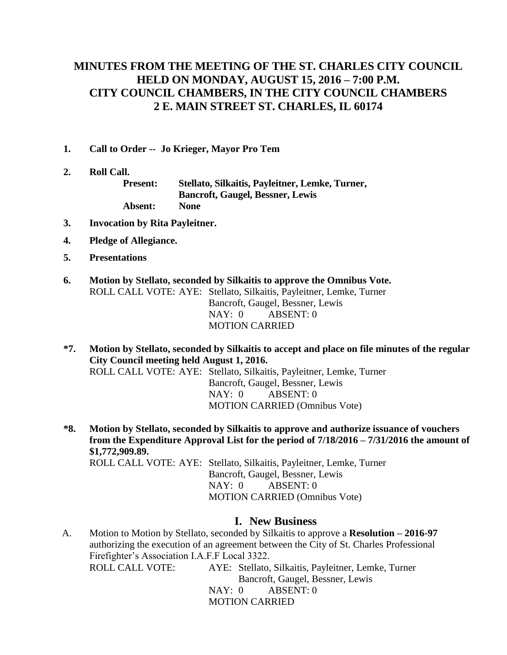# **MINUTES FROM THE MEETING OF THE ST. CHARLES CITY COUNCIL HELD ON MONDAY, AUGUST 15, 2016 – 7:00 P.M. CITY COUNCIL CHAMBERS, IN THE CITY COUNCIL CHAMBERS 2 E. MAIN STREET ST. CHARLES, IL 60174**

- **1. Call to Order -- Jo Krieger, Mayor Pro Tem**
- **2. Roll Call.**

**Present: Stellato, Silkaitis, Payleitner, Lemke, Turner, Bancroft, Gaugel, Bessner, Lewis Absent: None**

- **3. Invocation by Rita Payleitner.**
- **4. Pledge of Allegiance.**
- **5. Presentations**
- **6. Motion by Stellato, seconded by Silkaitis to approve the Omnibus Vote.** ROLL CALL VOTE: AYE: Stellato, Silkaitis, Payleitner, Lemke, Turner Bancroft, Gaugel, Bessner, Lewis NAY: 0 ABSENT: 0 MOTION CARRIED
- **\*7. Motion by Stellato, seconded by Silkaitis to accept and place on file minutes of the regular City Council meeting held August 1, 2016.**

ROLL CALL VOTE: AYE: Stellato, Silkaitis, Payleitner, Lemke, Turner Bancroft, Gaugel, Bessner, Lewis NAY: 0 ABSENT: 0 MOTION CARRIED (Omnibus Vote)

**\*8. Motion by Stellato, seconded by Silkaitis to approve and authorize issuance of vouchers from the Expenditure Approval List for the period of 7/18/2016 – 7/31/2016 the amount of \$1,772,909.89.** ROLL CALL VOTE: AYE: Stellato, Silkaitis, Payleitner, Lemke, Turner Bancroft, Gaugel, Bessner, Lewis NAY: 0 ABSENT: 0 MOTION CARRIED (Omnibus Vote)

## **I. New Business**

A. Motion to Motion by Stellato, seconded by Silkaitis to approve a **Resolution – 2016-97** authorizing the execution of an agreement between the City of St. Charles Professional Firefighter's Association I.A.F.F Local 3322. ROLL CALL VOTE: AYE: Stellato, Silkaitis, Payleitner, Lemke, Turner Bancroft, Gaugel, Bessner, Lewis NAY: 0 ABSENT: 0

MOTION CARRIED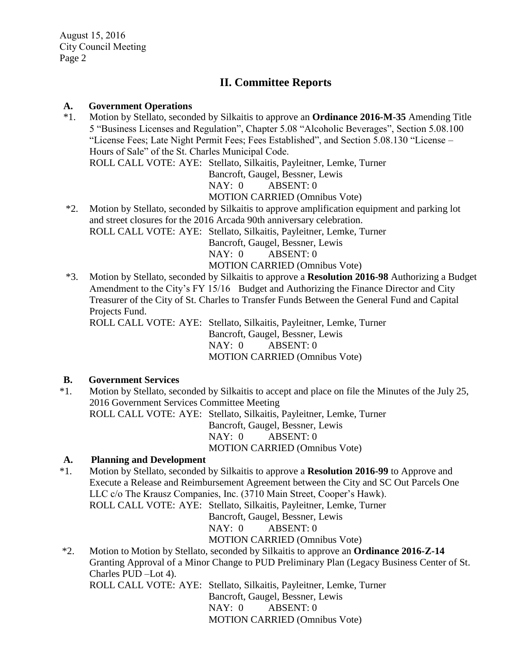# **II. Committee Reports**

#### **A. Government Operations**

- \*1. Motion by Stellato, seconded by Silkaitis to approve an **Ordinance 2016-M-35** Amending Title 5 "Business Licenses and Regulation", Chapter 5.08 "Alcoholic Beverages", Section 5.08.100 "License Fees; Late Night Permit Fees; Fees Established", and Section 5.08.130 "License – Hours of Sale" of the St. Charles Municipal Code. ROLL CALL VOTE: AYE: Stellato, Silkaitis, Payleitner, Lemke, Turner Bancroft, Gaugel, Bessner, Lewis NAY: 0 ABSENT: 0 MOTION CARRIED (Omnibus Vote) \*2. Motion by Stellato, seconded by Silkaitis to approve amplification equipment and parking lot
- and street closures for the 2016 Arcada 90th anniversary celebration. ROLL CALL VOTE: AYE: Stellato, Silkaitis, Payleitner, Lemke, Turner Bancroft, Gaugel, Bessner, Lewis NAY: 0 ABSENT: 0 MOTION CARRIED (Omnibus Vote)
- \*3. Motion by Stellato, seconded by Silkaitis to approve a **Resolution 2016-98** Authorizing a Budget Amendment to the City's FY 15/16 Budget and Authorizing the Finance Director and City Treasurer of the City of St. Charles to Transfer Funds Between the General Fund and Capital Projects Fund.

ROLL CALL VOTE: AYE: Stellato, Silkaitis, Payleitner, Lemke, Turner Bancroft, Gaugel, Bessner, Lewis NAY: 0 ABSENT: 0 MOTION CARRIED (Omnibus Vote)

## **B. Government Services**

\*1. Motion by Stellato, seconded by Silkaitis to accept and place on file the Minutes of the July 25, 2016 Government Services Committee Meeting ROLL CALL VOTE: AYE: Stellato, Silkaitis, Payleitner, Lemke, Turner Bancroft, Gaugel, Bessner, Lewis NAY: 0 ABSENT: 0 MOTION CARRIED (Omnibus Vote)

## **A. Planning and Development**

\*1. Motion by Stellato, seconded by Silkaitis to approve a **Resolution 2016-99** to Approve and Execute a Release and Reimbursement Agreement between the City and SC Out Parcels One LLC c/o The Krausz Companies, Inc. (3710 Main Street, Cooper's Hawk). ROLL CALL VOTE: AYE: Stellato, Silkaitis, Payleitner, Lemke, Turner Bancroft, Gaugel, Bessner, Lewis NAY: 0 ABSENT: 0

MOTION CARRIED (Omnibus Vote)

\*2. Motion to Motion by Stellato, seconded by Silkaitis to approve an **Ordinance 2016-Z-14**  Granting Approval of a Minor Change to PUD Preliminary Plan (Legacy Business Center of St. Charles PUD –Lot 4).

ROLL CALL VOTE: AYE: Stellato, Silkaitis, Payleitner, Lemke, Turner Bancroft, Gaugel, Bessner, Lewis NAY: 0 ABSENT: 0 MOTION CARRIED (Omnibus Vote)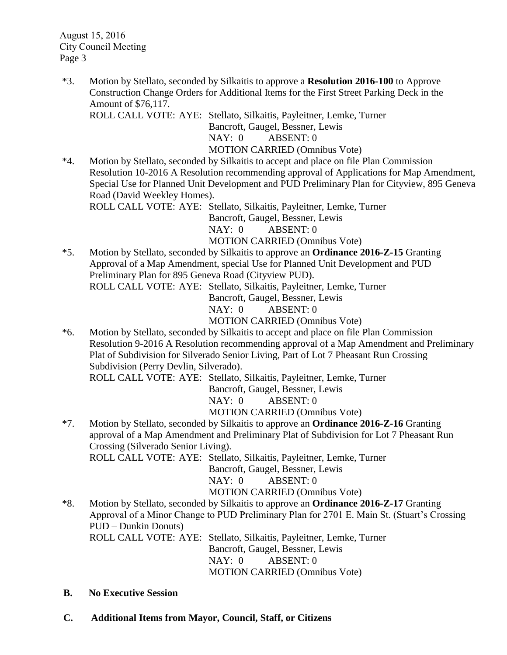August 15, 2016 City Council Meeting Page 3

\*3. Motion by Stellato, seconded by Silkaitis to approve a **Resolution 2016-100** to Approve Construction Change Orders for Additional Items for the First Street Parking Deck in the Amount of \$76,117.

ROLL CALL VOTE: AYE: Stellato, Silkaitis, Payleitner, Lemke, Turner Bancroft, Gaugel, Bessner, Lewis NAY: 0 ABSENT: 0

MOTION CARRIED (Omnibus Vote)

\*4. Motion by Stellato, seconded by Silkaitis to accept and place on file Plan Commission Resolution 10-2016 A Resolution recommending approval of Applications for Map Amendment, Special Use for Planned Unit Development and PUD Preliminary Plan for Cityview, 895 Geneva Road (David Weekley Homes).

ROLL CALL VOTE: AYE: Stellato, Silkaitis, Payleitner, Lemke, Turner Bancroft, Gaugel, Bessner, Lewis NAY: 0 ABSENT: 0 MOTION CARRIED (Omnibus Vote)

\*5. Motion by Stellato, seconded by Silkaitis to approve an **Ordinance 2016-Z-15** Granting Approval of a Map Amendment, special Use for Planned Unit Development and PUD Preliminary Plan for 895 Geneva Road (Cityview PUD). ROLL CALL VOTE: AYE: Stellato, Silkaitis, Payleitner, Lemke, Turner Bancroft, Gaugel, Bessner, Lewis

NAY: 0 ABSENT: 0

MOTION CARRIED (Omnibus Vote)

\*6. Motion by Stellato, seconded by Silkaitis to accept and place on file Plan Commission Resolution 9-2016 A Resolution recommending approval of a Map Amendment and Preliminary Plat of Subdivision for Silverado Senior Living, Part of Lot 7 Pheasant Run Crossing Subdivision (Perry Devlin, Silverado).

ROLL CALL VOTE: AYE: Stellato, Silkaitis, Payleitner, Lemke, Turner

Bancroft, Gaugel, Bessner, Lewis

NAY: 0 ABSENT: 0

MOTION CARRIED (Omnibus Vote)

\*7. Motion by Stellato, seconded by Silkaitis to approve an **Ordinance 2016-Z-16** Granting approval of a Map Amendment and Preliminary Plat of Subdivision for Lot 7 Pheasant Run Crossing (Silverado Senior Living).

ROLL CALL VOTE: AYE: Stellato, Silkaitis, Payleitner, Lemke, Turner Bancroft, Gaugel, Bessner, Lewis NAY: 0 ABSENT: 0

MOTION CARRIED (Omnibus Vote)

\*8. Motion by Stellato, seconded by Silkaitis to approve an **Ordinance 2016-Z-17** Granting Approval of a Minor Change to PUD Preliminary Plan for 2701 E. Main St. (Stuart's Crossing PUD – Dunkin Donuts) ROLL CALL VOTE: AYE: Stellato, Silkaitis, Payleitner, Lemke, Turner Bancroft, Gaugel, Bessner, Lewis

NAY: 0 ABSENT: 0 MOTION CARRIED (Omnibus Vote)

- **B. No Executive Session**
- **C. Additional Items from Mayor, Council, Staff, or Citizens**